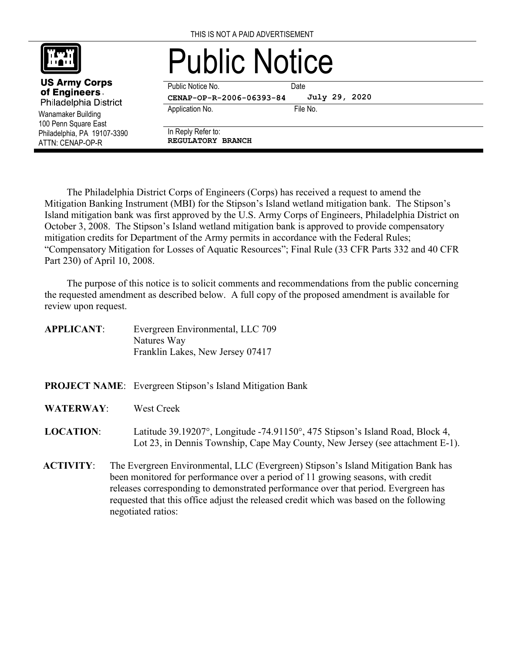

Wanamaker Building 100 Penn Square East Philadelphia, PA 19107-3390 ATTN: CENAP-OP-R

**US Army Corps** of Engineers. Philadelphia District

## Public Notice

Public Notice No. **Date CENAP-OP-R-2006-06393-84**

Application No. 6. The No. 6. The No.

**July 29, 2020**

In Reply Refer to: **REGULATORY BRANCH**

The Philadelphia District Corps of Engineers (Corps) has received a request to amend the Mitigation Banking Instrument (MBI) for the Stipson's Island wetland mitigation bank. The Stipson's Island mitigation bank was first approved by the U.S. Army Corps of Engineers, Philadelphia District on October 3, 2008. The Stipson's Island wetland mitigation bank is approved to provide compensatory mitigation credits for Department of the Army permits in accordance with the Federal Rules; "Compensatory Mitigation for Losses of Aquatic Resources"; Final Rule (33 CFR Parts 332 and 40 CFR Part 230) of April 10, 2008.

The purpose of this notice is to solicit comments and recommendations from the public concerning the requested amendment as described below. A full copy of the proposed amendment is available for review upon request.

| Evergreen Environmental, LLC 709 |
|----------------------------------|
| Natures Way                      |
| Franklin Lakes, New Jersey 07417 |
|                                  |

- **PROJECT NAME**: Evergreen Stipson's Island Mitigation Bank
- **WATERWAY**: West Creek

## **LOCATION**: Latitude 39.19207°, Longitude -74.91150°, 475 Stipson's Island Road, Block 4, Lot 23, in Dennis Township, Cape May County, New Jersey (see attachment E-1).

**ACTIVITY**: The Evergreen Environmental, LLC (Evergreen) Stipson's Island Mitigation Bank has been monitored for performance over a period of 11 growing seasons, with credit releases corresponding to demonstrated performance over that period. Evergreen has requested that this office adjust the released credit which was based on the following negotiated ratios: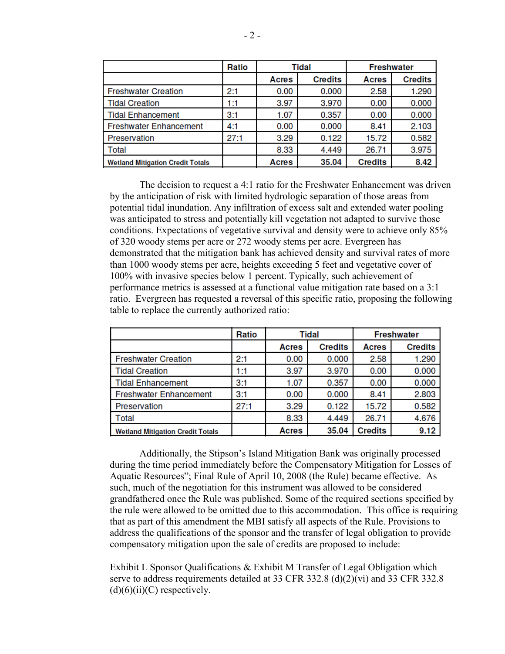|                                         | Ratio | Tidal |                | <b>Freshwater</b> |                |  |
|-----------------------------------------|-------|-------|----------------|-------------------|----------------|--|
|                                         |       | Acres | <b>Credits</b> | <b>Acres</b>      | <b>Credits</b> |  |
| <b>Freshwater Creation</b>              | 2:1   | 0.00  | 0.000          | 2.58              | 1.290          |  |
| <b>Tidal Creation</b>                   | 1:1   | 3.97  | 3.970          | 0.00              | 0.000          |  |
| <b>Tidal Enhancement</b>                | 3:1   | 1.07  | 0.357          | 0.00              | 0.000          |  |
| <b>Freshwater Enhancement</b>           | 4:1   | 0.00  | 0.000          | 8.41              | 2.103          |  |
| Preservation                            | 27:1  | 3.29  | 0.122          | 15.72             | 0.582          |  |
| Total                                   |       | 8.33  | 4.449          | 26.71             | 3.975          |  |
| <b>Wetland Mitigation Credit Totals</b> |       | Acres | 35.04          | <b>Credits</b>    | 8.42           |  |

The decision to request a 4:1 ratio for the Freshwater Enhancement was driven by the anticipation of risk with limited hydrologic separation of those areas from potential tidal inundation. Any infiltration of excess salt and extended water pooling was anticipated to stress and potentially kill vegetation not adapted to survive those conditions. Expectations of vegetative survival and density were to achieve only 85% of 320 woody stems per acre or 272 woody stems per acre. Evergreen has demonstrated that the mitigation bank has achieved density and survival rates of more than 1000 woody stems per acre, heights exceeding 5 feet and vegetative cover of 100% with invasive species below 1 percent. Typically, such achievement of performance metrics is assessed at a functional value mitigation rate based on a 3:1 ratio. Evergreen has requested a reversal of this specific ratio, proposing the following table to replace the currently authorized ratio:

|                                         | Ratio | Tidal |                | <b>Freshwater</b> |                |  |
|-----------------------------------------|-------|-------|----------------|-------------------|----------------|--|
|                                         |       | Acres | <b>Credits</b> | <b>Acres</b>      | <b>Credits</b> |  |
| <b>Freshwater Creation</b>              | 2:1   | 0.00  | 0.000          | 2.58              | 1.290          |  |
| <b>Tidal Creation</b>                   | 1:1   | 3.97  | 3.970          | 0.00              | 0.000          |  |
| <b>Tidal Enhancement</b>                | 3:1   | 1.07  | 0.357          | 0.00              | 0.000          |  |
| <b>Freshwater Enhancement</b>           | 3:1   | 0.00  | 0.000          | 8.41              | 2.803          |  |
| Preservation                            | 27:1  | 3.29  | 0.122          | 15.72             | 0.582          |  |
| Total                                   |       | 8.33  | 4.449          | 26.71             | 4.676          |  |
| <b>Wetland Mitigation Credit Totals</b> |       | Acres | 35.04          | <b>Credits</b>    | 9.12           |  |

Additionally, the Stipson's Island Mitigation Bank was originally processed during the time period immediately before the Compensatory Mitigation for Losses of Aquatic Resources"; Final Rule of April 10, 2008 (the Rule) became effective. As such, much of the negotiation for this instrument was allowed to be considered grandfathered once the Rule was published. Some of the required sections specified by the rule were allowed to be omitted due to this accommodation. This office is requiring that as part of this amendment the MBI satisfy all aspects of the Rule. Provisions to address the qualifications of the sponsor and the transfer of legal obligation to provide compensatory mitigation upon the sale of credits are proposed to include:

Exhibit L Sponsor Qualifications & Exhibit M Transfer of Legal Obligation which serve to address requirements detailed at 33 CFR 332.8 (d)(2)(vi) and 33 CFR 332.8  $(d)(6)(ii)(C)$  respectively.